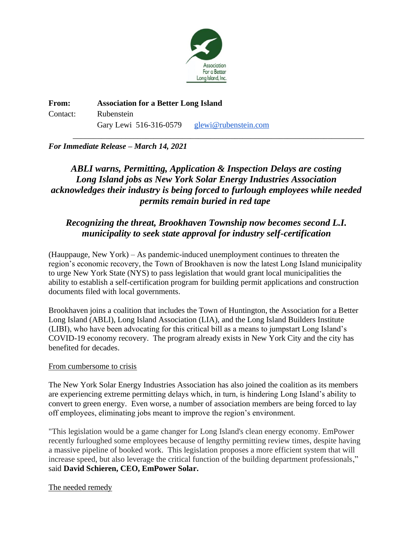

**From: Association for a Better Long Island** Contact: Rubenstein Gary Lewi 516-316-0579 [glewi@rubenstein.com](mailto:glewi@rubenstein.com)

### *For Immediate Release – March 14, 2021*

# *ABLI warns, Permitting, Application & Inspection Delays are costing Long Island jobs as New York Solar Energy Industries Association acknowledges their industry is being forced to furlough employees while needed permits remain buried in red tape*

\_\_\_\_\_\_\_\_\_\_\_\_\_\_\_\_\_\_\_\_\_\_\_\_\_\_\_\_\_\_\_\_\_\_\_\_\_\_\_\_\_\_\_\_\_\_\_\_\_\_\_\_\_\_\_\_\_\_\_\_\_\_\_\_\_\_\_\_\_\_\_\_

## *Recognizing the threat, Brookhaven Township now becomes second L.I. municipality to seek state approval for industry self-certification*

(Hauppauge, New York) – As pandemic-induced unemployment continues to threaten the region's economic recovery, the Town of Brookhaven is now the latest Long Island municipality to urge New York State (NYS) to pass legislation that would grant local municipalities the ability to establish a self-certification program for building permit applications and construction documents filed with local governments.

Brookhaven joins a coalition that includes the Town of Huntington, the Association for a Better Long Island (ABLI), Long Island Association (LIA), and the Long Island Builders Institute (LIBI), who have been advocating for this critical bill as a means to jumpstart Long Island's COVID-19 economy recovery. The program already exists in New York City and the city has benefited for decades.

#### From cumbersome to crisis

The New York Solar Energy Industries Association has also joined the coalition as its members are experiencing extreme permitting delays which, in turn, is hindering Long Island's ability to convert to green energy. Even worse, a number of association members are being forced to lay off employees, eliminating jobs meant to improve the region's environment.

"This legislation would be a game changer for Long Island's clean energy economy. EmPower recently furloughed some employees because of lengthy permitting review times, despite having a massive pipeline of booked work. This legislation proposes a more efficient system that will increase speed, but also leverage the critical function of the building department professionals," said **David Schieren, CEO, EmPower Solar.**

#### The needed remedy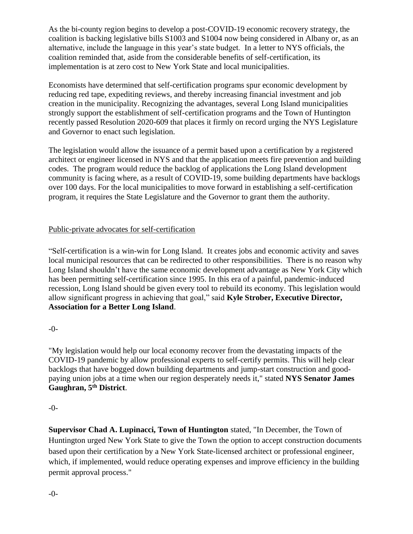As the bi-county region begins to develop a post-COVID-19 economic recovery strategy, the coalition is backing legislative bills S1003 and S1004 now being considered in Albany or, as an alternative, include the language in this year's state budget. In a letter to NYS officials, the coalition reminded that, aside from the considerable benefits of self-certification, its implementation is at zero cost to New York State and local municipalities.

Economists have determined that self-certification programs spur economic development by reducing red tape, expediting reviews, and thereby increasing financial investment and job creation in the municipality. Recognizing the advantages, several Long Island municipalities strongly support the establishment of self-certification programs and the Town of Huntington recently passed Resolution 2020-609 that places it firmly on record urging the NYS Legislature and Governor to enact such legislation.

The legislation would allow the issuance of a permit based upon a certification by a registered architect or engineer licensed in NYS and that the application meets fire prevention and building codes. The program would reduce the backlog of applications the Long Island development community is facing where, as a result of COVID-19, some building departments have backlogs over 100 days. For the local municipalities to move forward in establishing a self-certification program, it requires the State Legislature and the Governor to grant them the authority.

### Public-private advocates for self-certification

"Self-certification is a win-win for Long Island. It creates jobs and economic activity and saves local municipal resources that can be redirected to other responsibilities. There is no reason why Long Island shouldn't have the same economic development advantage as New York City which has been permitting self-certification since 1995. In this era of a painful, pandemic-induced recession, Long Island should be given every tool to rebuild its economy. This legislation would allow significant progress in achieving that goal," said **Kyle Strober, Executive Director, Association for a Better Long Island**.

#### -0-

"My legislation would help our local economy recover from the devastating impacts of the COVID-19 pandemic by allow professional experts to self-certify permits. This will help clear backlogs that have bogged down building departments and jump-start construction and goodpaying union jobs at a time when our region desperately needs it," stated **NYS Senator James Gaughran, 5th District**.

#### -0-

**Supervisor Chad A. Lupinacci, Town of Huntington** stated, "In December, the Town of Huntington urged New York State to give the Town the option to accept construction documents based upon their certification by a New York State-licensed architect or professional engineer, which, if implemented, would reduce operating expenses and improve efficiency in the building permit approval process."